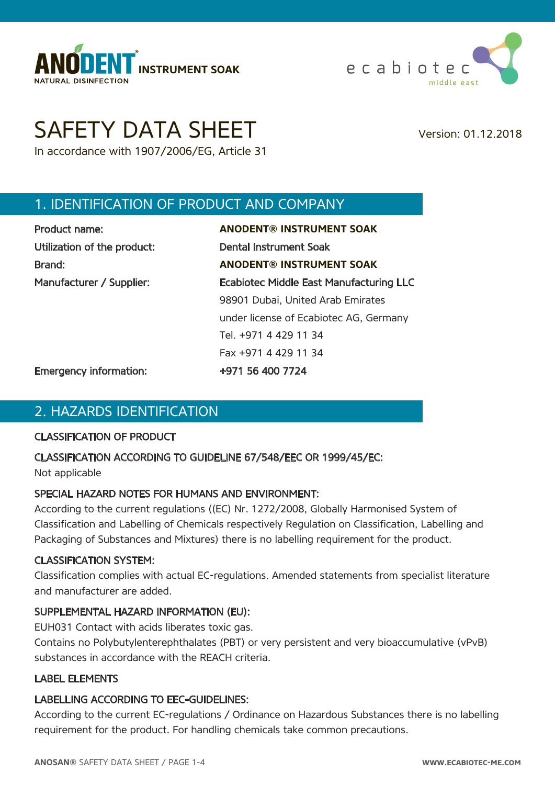



# SAFETY DATA SHEET Version: 01.12.2018

In accordance with 1907/2006/EG, Article 31

## 1. IDENTIFICATION OF PRODUCT AND COMPANY

| Product name:               | <b>ANODENT® INSTRUMENT SOAK</b>                |
|-----------------------------|------------------------------------------------|
| Utilization of the product: | <b>Dental Instrument Soak</b>                  |
| Brand:                      | <b>ANODENT® INSTRUMENT SOAK</b>                |
| Manufacturer / Supplier:    | <b>Ecabiotec Middle East Manufacturing LLC</b> |
|                             | 98901 Dubai, United Arab Emirates              |
|                             | under license of Ecabiotec AG, Germany         |
|                             | Tel. +971 4 429 11 34                          |
|                             | Fax +971 4 429 11 34                           |
|                             |                                                |

Emergency information: +971 56 400 7724

#### 2. HAZARDS IDENTIFICATION

#### CLASSIFICATION OF PRODUCT

#### CLASSIFICATION ACCORDING TO GUIDELINE 67/548/EEC OR 1999/45/EC:

Not applicable

#### SPECIAL HAZARD NOTES FOR HUMANS AND ENVIRONMENT:

According to the current regulations ((EC) Nr. 1272/2008, Globally Harmonised System of Classification and Labelling of Chemicals respectively Regulation on Classification, Labelling and Packaging of Substances and Mixtures) there is no labelling requirement for the product.

#### CLASSIFICATION SYSTEM:

Classification complies with actual EC-regulations. Amended statements from specialist literature and manufacturer are added.

#### SUPPLEMENTAL HAZARD INFORMATION (EU):

EUH031 Contact with acids liberates toxic gas.

Contains no Polybutylenterephthalates (PBT) or very persistent and very bioaccumulative (vPvB) substances in accordance with the REACH criteria.

#### LABEL ELEMENTS

#### LABELLING ACCORDING TO EEC-GUIDELINES:

According to the current EC-regulations / Ordinance on Hazardous Substances there is no labelling requirement for the product. For handling chemicals take common precautions.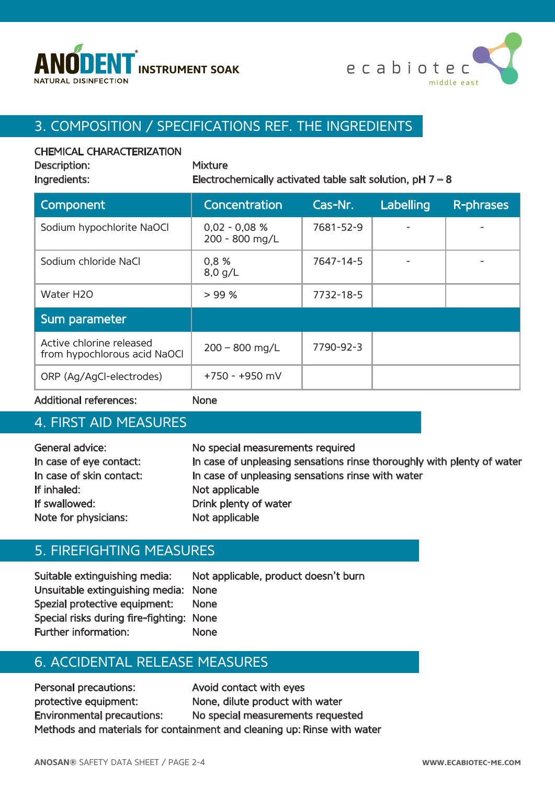



## 3. COMPOSITION / SPECIFICATIONS REF. THE INGREDIENTS

#### CHEMICAL CHARACTERIZATION

Description:

| <b>Mixture</b>                 |  |
|--------------------------------|--|
| Film at an active and the Home |  |

Ingredients: Electrochemically activated table salt solution,  $pH 7 - 8$ 

| Component                                                | Concentration                     | Cas-Nr.   | Labelling | R-phrases |
|----------------------------------------------------------|-----------------------------------|-----------|-----------|-----------|
| Sodium hypochlorite NaOCl                                | $0,02 - 0,08 %$<br>200 - 800 mg/L | 7681-52-9 |           |           |
| Sodium chloride NaCl                                     | 0,8 %<br>$8,0$ g/L                | 7647-14-5 |           |           |
| Water H2O                                                | > 99%                             | 7732-18-5 |           |           |
| Sum parameter                                            |                                   |           |           |           |
| Active chlorine released<br>from hypochlorous acid NaOCI | $200 - 800$ mg/L                  | 7790-92-3 |           |           |
| ORP (Ag/AgCI-electrodes)                                 | $+750 - +950$ mV                  |           |           |           |

Additional references: None

#### 4. FIRST AID MEASURES

| General advice:          | No special measurements required                                       |
|--------------------------|------------------------------------------------------------------------|
| In case of eye contact:  | In case of unpleasing sensations rinse thoroughly with plenty of water |
| In case of skin contact: | In case of unpleasing sensations rinse with water                      |
| If inhaled:              | Not applicable                                                         |
| If swallowed:            | Drink plenty of water                                                  |
| Note for physicians:     | Not applicable                                                         |

#### 5. FIREFIGHTING MEASURES

Suitable extinguishing media: Not applicable, product doesn't burn Unsuitable extinguishing media: None Spezial protective equipment: None Special risks during fire-fighting: None Further information: None

## 6. ACCIDENTAL RELEASE MEASURES

Personal precautions: Avoid contact with eyes protective equipment: None, dilute product with water Environmental precautions: No special measurements requested Methods and materials for containment and cleaning up: Rinse with water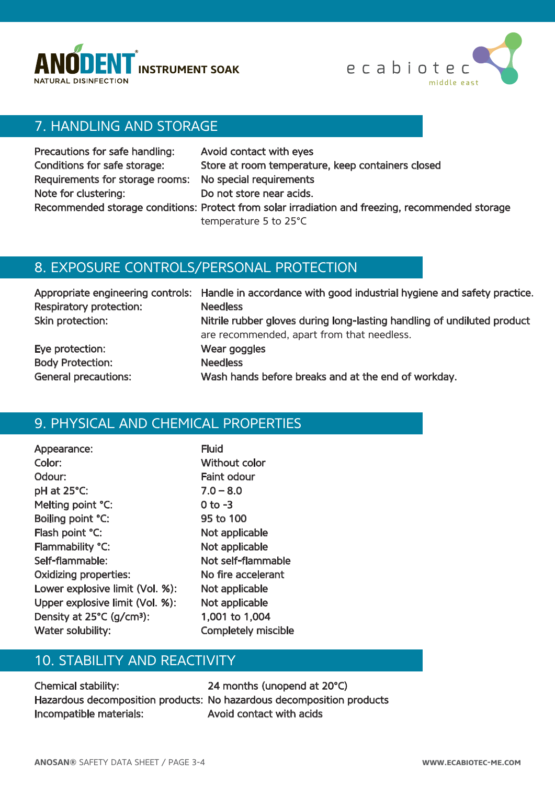



## 7. HANDLING AND STORAGE

| Precautions for safe handling:                          | Avoid contact with eyes                                                                          |
|---------------------------------------------------------|--------------------------------------------------------------------------------------------------|
| Conditions for safe storage:                            | Store at room temperature, keep containers closed                                                |
| Requirements for storage rooms: No special requirements |                                                                                                  |
| Note for clustering:                                    | Do not store near acids.                                                                         |
|                                                         | Recommended storage conditions: Protect from solar irradiation and freezing, recommended storage |
|                                                         | temperature 5 to 25°C                                                                            |

#### 8. EXPOSURE CONTROLS/PERSONAL PROTECTION

| Respiratory protection:     | Appropriate engineering controls: Handle in accordance with good industrial hygiene and safety practice.<br><b>Needless</b> |
|-----------------------------|-----------------------------------------------------------------------------------------------------------------------------|
| Skin protection:            | Nitrile rubber gloves during long-lasting handling of undiluted product<br>are recommended, apart from that needless.       |
| Eye protection:             | Wear goggles                                                                                                                |
| <b>Body Protection:</b>     | <b>Needless</b>                                                                                                             |
| <b>General precautions:</b> | Wash hands before breaks and at the end of workday.                                                                         |

## 9. PHYSICAL AND CHEMICAL PROPERTIES

| Appearance:                           | <b>Fluid</b>   |
|---------------------------------------|----------------|
| Color:                                | <b>Without</b> |
| Odour:                                | Faint odd      |
| pH at 25°C:                           | $7.0 - 8.0$    |
| Melting point °C:                     | 0 to -3        |
| Boiling point °C:                     | 95 to 10       |
| Flash point °C:                       | Not appl       |
| Flammability °C:                      | Not appl       |
| Self-flammable:                       | Not self-      |
| <b>Oxidizing properties:</b>          | No fire a      |
| Lower explosive limit (Vol. %):       | Not appl       |
| Upper explosive limit (Vol. %):       | Not appl       |
| Density at 25°C (g/cm <sup>3</sup> ): | 1,001 to       |
| Water solubility:                     | Complete       |

## hout color it odour  $\overline{5}$  0 100 applicable applicable self-flammable fire accelerant applicable applicable 01 to 1,004 npletely miscible

## 10. STABILITY AND REACTIVITY

Chemical stability: 24 months (unopend at 20°C) Incompatible materials: Avoid contact with acids

Hazardous decomposition products: No hazardous decomposition products